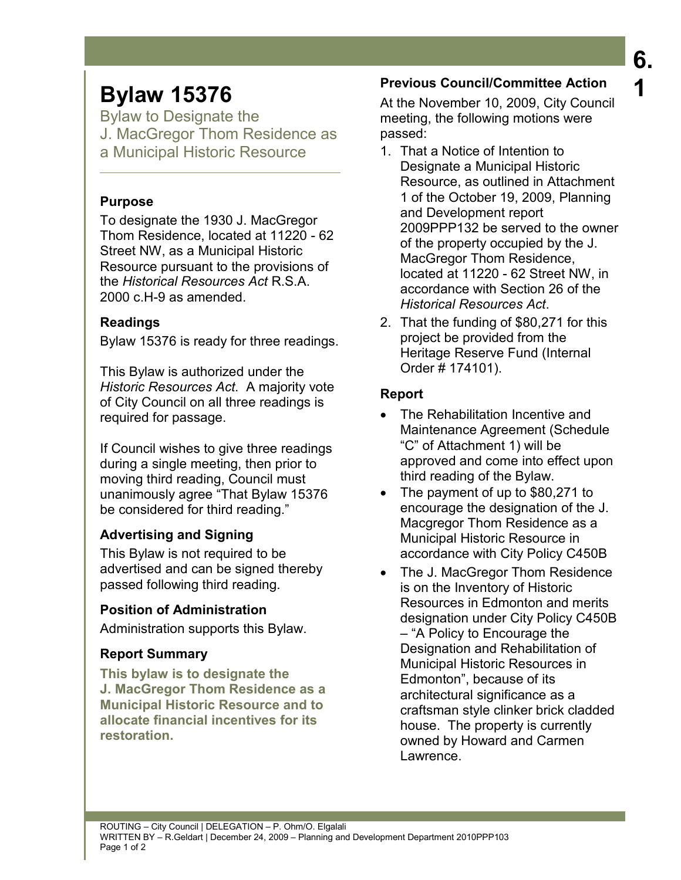# **Bylaw 15376**

Bylaw to Designate the J. MacGregor Thom Residence as a Municipal Historic Resource

# **Purpose**

To designate the 1930 J. MacGregor Thom Residence, located at 11220 - 62 Street NW, as a Municipal Historic Resource pursuant to the provisions of the *Historical Resources Act* R.S.A. 2000 c.H-9 as amended.

# **Readings**

Bylaw 15376 is ready for three readings.

This Bylaw is authorized under the *Historic Resources Act*. A majority vote of City Council on all three readings is required for passage.

If Council wishes to give three readings during a single meeting, then prior to moving third reading, Council must unanimously agree "That Bylaw 15376 be considered for third reading."

# **Advertising and Signing**

This Bylaw is not required to be advertised and can be signed thereby passed following third reading.

# **Position of Administration**

Administration supports this Bylaw.

# **Report Summary**

**This bylaw is to designate the J. MacGregor Thom Residence as a Municipal Historic Resource and to allocate financial incentives for its restoration.** 

# **Previous Council/Committee Action**

At the November 10, 2009, City Council meeting, the following motions were passed:

- 1. That a Notice of Intention to Designate a Municipal Historic Resource, as outlined in Attachment 1 of the October 19, 2009, Planning and Development report 2009PPP132 be served to the owner of the property occupied by the J. MacGregor Thom Residence, located at 11220 - 62 Street NW, in accordance with Section 26 of the *Historical Resources Act*.
- 2. That the funding of \$80,271 for this project be provided from the Heritage Reserve Fund (Internal Order # 174101).

# **Report**

- The Rehabilitation Incentive and Maintenance Agreement (Schedule "C" of Attachment 1) will be approved and come into effect upon third reading of the Bylaw.
- The payment of up to \$80,271 to encourage the designation of the J. Macgregor Thom Residence as a Municipal Historic Resource in accordance with City Policy C450B
- The J. MacGregor Thom Residence is on the Inventory of Historic Resources in Edmonton and merits designation under City Policy C450B – "A Policy to Encourage the Designation and Rehabilitation of Municipal Historic Resources in Edmonton", because of its architectural significance as a craftsman style clinker brick cladded house. The property is currently owned by Howard and Carmen Lawrence.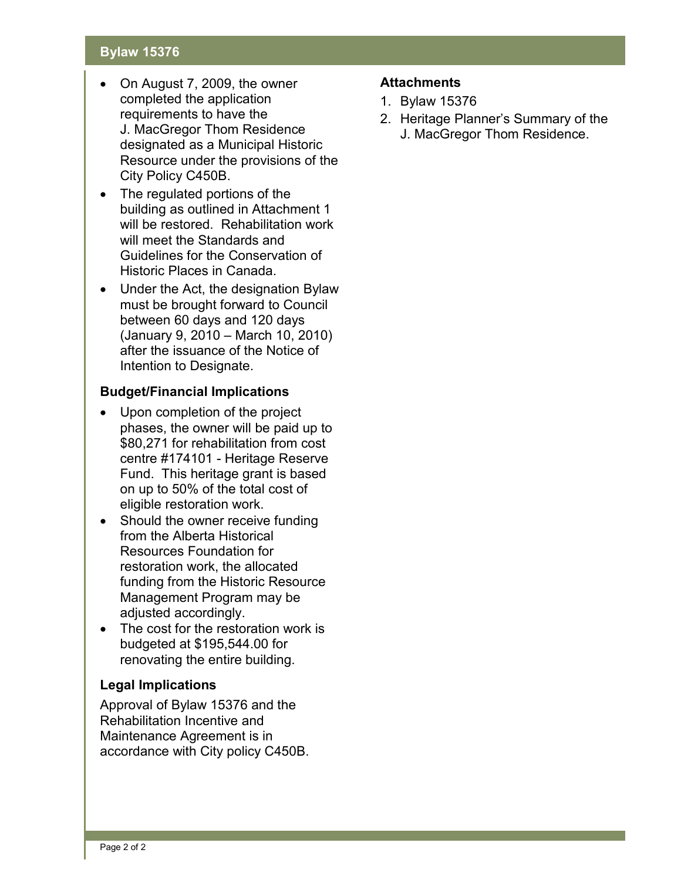# **Bylaw 15376**

- On August 7, 2009, the owner completed the application requirements to have the J. MacGregor Thom Residence designated as a Municipal Historic Resource under the provisions of the City Policy C450B.
- The regulated portions of the building as outlined in Attachment 1 will be restored. Rehabilitation work will meet the Standards and Guidelines for the Conservation of Historic Places in Canada.
- Under the Act, the designation Bylaw must be brought forward to Council between 60 days and 120 days (January 9, 2010 – March 10, 2010) after the issuance of the Notice of Intention to Designate.

# **Budget/Financial Implications**

- Upon completion of the project phases, the owner will be paid up to \$80,271 for rehabilitation from cost centre #174101 - Heritage Reserve Fund. This heritage grant is based on up to 50% of the total cost of eligible restoration work.
- Should the owner receive funding from the Alberta Historical Resources Foundation for restoration work, the allocated funding from the Historic Resource Management Program may be adjusted accordingly.
- The cost for the restoration work is budgeted at \$195,544.00 for renovating the entire building.

# **Legal Implications**

Approval of Bylaw 15376 and the Rehabilitation Incentive and Maintenance Agreement is in accordance with City policy C450B.

## **Attachments**

- 1. Bylaw 15376
- 2. Heritage Planner's Summary of the J. MacGregor Thom Residence.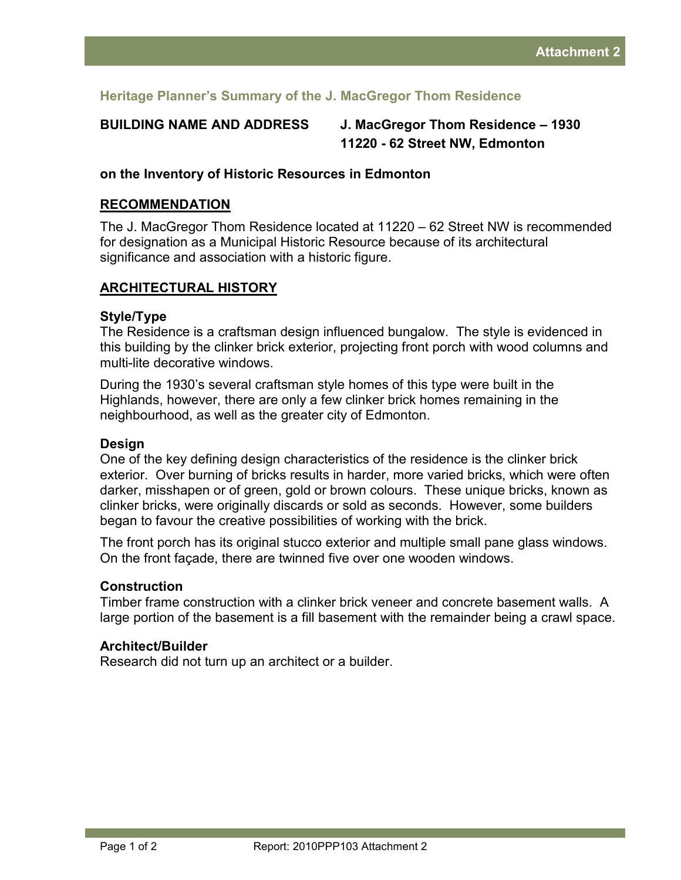# **Heritage Planner's Summary of the J. MacGregor Thom Residence**

**BUILDING NAME AND ADDRESS J. MacGregor Thom Residence – 1930 11220 - 62 Street NW, Edmonton** 

## **on the Inventory of Historic Resources in Edmonton**

#### **RECOMMENDATION**

The J. MacGregor Thom Residence located at 11220 – 62 Street NW is recommended for designation as a Municipal Historic Resource because of its architectural significance and association with a historic figure.

# **ARCHITECTURAL HISTORY**

#### **Style/Type**

The Residence is a craftsman design influenced bungalow. The style is evidenced in this building by the clinker brick exterior, projecting front porch with wood columns and multi-lite decorative windows.

During the 1930's several craftsman style homes of this type were built in the Highlands, however, there are only a few clinker brick homes remaining in the neighbourhood, as well as the greater city of Edmonton.

#### **Design**

One of the key defining design characteristics of the residence is the clinker brick exterior. Over burning of bricks results in harder, more varied bricks, which were often darker, misshapen or of green, gold or brown colours. These unique bricks, known as clinker bricks, were originally discards or sold as seconds. However, some builders began to favour the creative possibilities of working with the brick.

The front porch has its original stucco exterior and multiple small pane glass windows. On the front façade, there are twinned five over one wooden windows.

#### **Construction**

Timber frame construction with a clinker brick veneer and concrete basement walls. A large portion of the basement is a fill basement with the remainder being a crawl space.

#### **Architect/Builder**

Research did not turn up an architect or a builder.